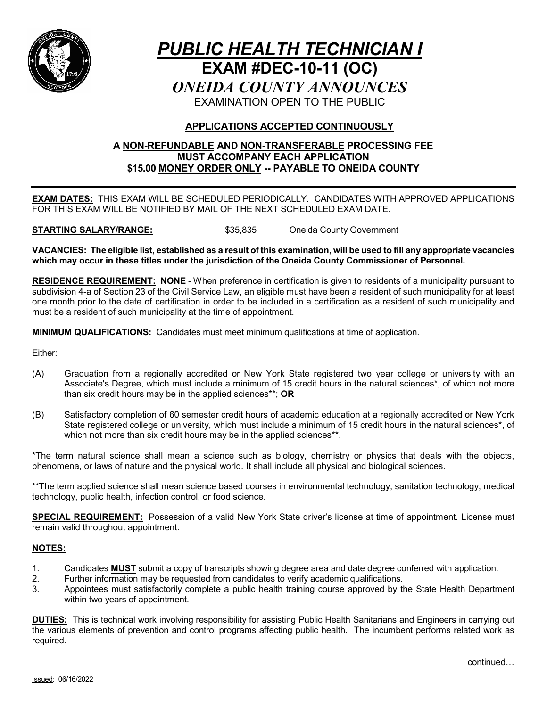

# *PUBLIC HEALTH TECHNICIAN I* **EXAM #DEC-10-11 (OC)** *ONEIDA COUNTY ANNOUNCES* EXAMINATION OPEN TO THE PUBLIC

### **APPLICATIONS ACCEPTED CONTINUOUSLY**

#### **A NON-REFUNDABLE AND NON-TRANSFERABLE PROCESSING FEE MUST ACCOMPANY EACH APPLICATION \$15.00 MONEY ORDER ONLY -- PAYABLE TO ONEIDA COUNTY**

**EXAM DATES:** THIS EXAM WILL BE SCHEDULED PERIODICALLY. CANDIDATES WITH APPROVED APPLICATIONS FOR THIS EXAM WILL BE NOTIFIED BY MAIL OF THE NEXT SCHEDULED EXAM DATE.

**STARTING SALARY/RANGE:** \$35,835 Oneida County Government

**VACANCIES: The eligible list, established as a result of this examination, will be used to fill any appropriate vacancies which may occur in these titles under the jurisdiction of the Oneida County Commissioner of Personnel.**

**RESIDENCE REQUIREMENT: NONE** - When preference in certification is given to residents of a municipality pursuant to subdivision 4-a of Section 23 of the Civil Service Law, an eligible must have been a resident of such municipality for at least one month prior to the date of certification in order to be included in a certification as a resident of such municipality and must be a resident of such municipality at the time of appointment.

**MINIMUM QUALIFICATIONS:** Candidates must meet minimum qualifications at time of application.

Either:

- (A) Graduation from a regionally accredited or New York State registered two year college or university with an Associate's Degree, which must include a minimum of 15 credit hours in the natural sciences\*, of which not more than six credit hours may be in the applied sciences\*\*; **OR**
- (B) Satisfactory completion of 60 semester credit hours of academic education at a regionally accredited or New York State registered college or university, which must include a minimum of 15 credit hours in the natural sciences\*, of which not more than six credit hours may be in the applied sciences\*\*.

\*The term natural science shall mean a science such as biology, chemistry or physics that deals with the objects, phenomena, or laws of nature and the physical world. It shall include all physical and biological sciences.

\*\*The term applied science shall mean science based courses in environmental technology, sanitation technology, medical technology, public health, infection control, or food science.

**SPECIAL REQUIREMENT:** Possession of a valid New York State driver's license at time of appointment. License must remain valid throughout appointment.

#### **NOTES:**

- 1. Candidates **MUST** submit a copy of transcripts showing degree area and date degree conferred with application.
- 2. Further information may be requested from candidates to verify academic qualifications.
- 3. Appointees must satisfactorily complete a public health training course approved by the State Health Department within two years of appointment.

**DUTIES:** This is technical work involving responsibility for assisting Public Health Sanitarians and Engineers in carrying out the various elements of prevention and control programs affecting public health. The incumbent performs related work as required.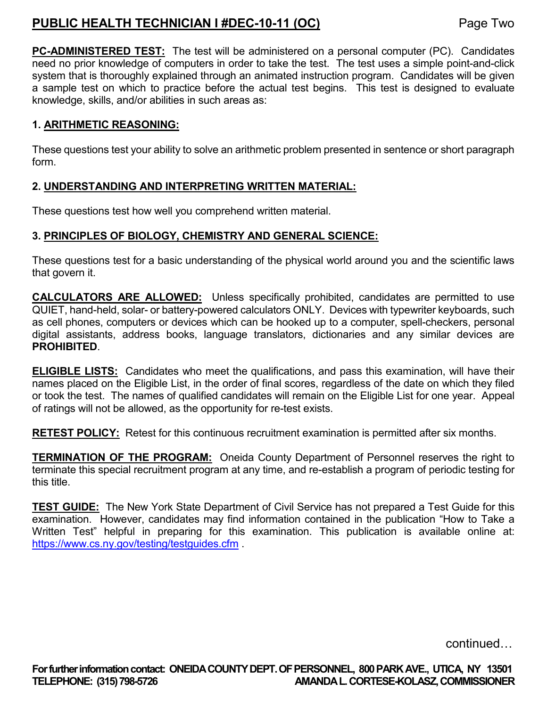# **PUBLIC HEALTH TECHNICIAN I #DEC-10-11 (OC)** Page Two

**PC-ADMINISTERED TEST:** The test will be administered on a personal computer (PC). Candidates need no prior knowledge of computers in order to take the test. The test uses a simple point-and-click system that is thoroughly explained through an animated instruction program. Candidates will be given a sample test on which to practice before the actual test begins. This test is designed to evaluate knowledge, skills, and/or abilities in such areas as:

# **1. ARITHMETIC REASONING:**

These questions test your ability to solve an arithmetic problem presented in sentence or short paragraph form.

## **2. UNDERSTANDING AND INTERPRETING WRITTEN MATERIAL:**

These questions test how well you comprehend written material.

### **3. PRINCIPLES OF BIOLOGY, CHEMISTRY AND GENERAL SCIENCE:**

These questions test for a basic understanding of the physical world around you and the scientific laws that govern it.

**CALCULATORS ARE ALLOWED:** Unless specifically prohibited, candidates are permitted to use QUIET, hand-held, solar- or battery-powered calculators ONLY. Devices with typewriter keyboards, such as cell phones, computers or devices which can be hooked up to a computer, spell-checkers, personal digital assistants, address books, language translators, dictionaries and any similar devices are **PROHIBITED**.

**ELIGIBLE LISTS:** Candidates who meet the qualifications, and pass this examination, will have their names placed on the Eligible List, in the order of final scores, regardless of the date on which they filed or took the test. The names of qualified candidates will remain on the Eligible List for one year. Appeal of ratings will not be allowed, as the opportunity for re-test exists.

**RETEST POLICY:** Retest for this continuous recruitment examination is permitted after six months.

**TERMINATION OF THE PROGRAM:** Oneida County Department of Personnel reserves the right to terminate this special recruitment program at any time, and re-establish a program of periodic testing for this title.

**TEST GUIDE:** The New York State Department of Civil Service has not prepared a Test Guide for this examination. However, candidates may find information contained in the publication "How to Take a Written Test" helpful in preparing for this examination. This publication is available online at: <https://www.cs.ny.gov/testing/testguides.cfm> .

continued…